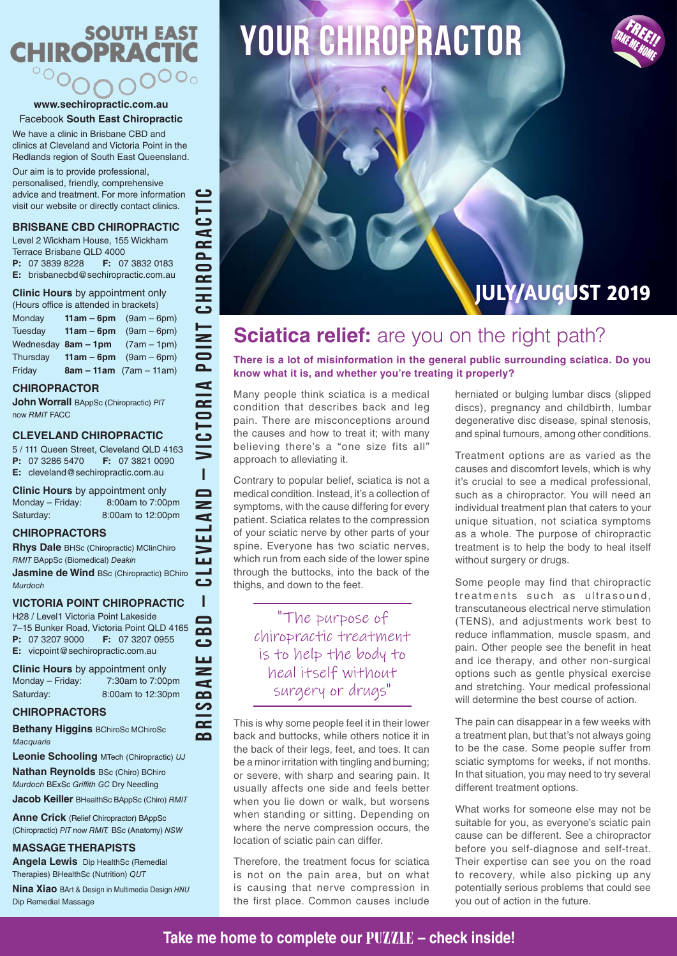# **SOUTH EAST CHIROPRACTIC**  $\circ \circ_{\mathsf{O}}$

#### **www.sechiropractic.com.au** Facebook **South East Chiropractic**

We have a clinic in Brisbane CBD and clinics at Cleveland and Victoria Point in the Redlands region of South East Queensland.

Our aim is to provide professional, personalised, friendly, comprehensive advice and treatment. For more information visit our website or directly contact clinics.

## **BRISBANE CBD CHIROPRACTIC**

Level 2 Wickham House, 155 Wickham Terrace Brisbane QLD 4000

**P:** 07 3839 8228 **F:** 07 3832 0183 **E:** brisbanecbd@sechiropractic.com.au

**Clinic Hours** by appointment only

| (Hours office is attended in brackets) |                     |                           |
|----------------------------------------|---------------------|---------------------------|
| Monday                                 | $11am - 6pm$        | $(9am - 6pm)$             |
| Tuesday                                | $11am - 6pm$        | $(9am - 6pm)$             |
|                                        | Wednesday 8am - 1pm | $(7am - 1pm)$             |
| Thursday                               | $11am - 6pm$        | $(9am - 6pm)$             |
| Friday                                 |                     | $8am - 11am$ (7am – 11am) |

#### **CHIROPRACTOR**

**John Worrall** BAppSc (Chiropractic) *PIT* now *RMIT* FACC

#### **CLEVELAND CHIROPRACTIC**

5 / 111 Queen Street, Cleveland QLD 4163 **P:** 07 3286 5470 **F:** 07 3821 0090 **E:** cleveland@sechiropractic.com.au

**BRISBANE CBD – CLEVELAND – VICTORIA POINT CHIROPRACTIC**

 $\overline{1}$  $\blacksquare$  $\geq$ d  $\overline{\mathbf{u}}$ m

 $\sim$  $\overline{\mathbf{C}}$ ப  $\geq$ đ  $\blacksquare$ <u> က</u>  $\overline{\mathbf{r}}$  $\overline{\mathbf{C}}$ 

**TIOd** 

CTORIA

 $\mathbf{C}$ 

 $\overline{\mathbf{r}}$  $\overline{\mathtt{a}}$  $\overline{\bullet}$  $\overline{\mathbf{r}}$ **CHI** 

**Clinic Hours** by appointment only Monday – Friday: 8:00am to 7:00pm Saturday: 8:00am to 12:00pm

#### **CHIROPRACTORS**

**Rhys Dale** BHSc (Chiropractic) MClinChiro *RMIT* BAppSc (Biomedical) *Deakin*

**Jasmine de Wind BSc (Chiropractic) BChiro** *Murdoch*

## **VICTORIA POINT CHIROPRACTIC**

H28 / Level1 Victoria Point Lakeside 7–15 Bunker Road, Victoria Point QLD 4165 **P:** 07 3207 9000 **F:** 07 3207 0955 **E:** vicpoint@sechiropractic.com.au

**Clinic Hours** by appointment only Monday – Friday: 7:30am to 7:00pm Saturday: 8:00am to 12:30pm

### **CHIROPRACTORS**

**Bethany Higgins** BChiroSc MChiroSc *Macquarie*

**Leonie Schooling** MTech (Chiropractic) *UJ*

**Nathan Reynolds** BSc (Chiro) BChiro *Murdoch* BExSc *Griffith GC* Dry Needling

**Jacob Keiller** BHealthSc BAppSc (Chiro) *RMIT*

**Anne Crick** (Relief Chiropractor) BAppSc (Chiropractic) *PIT* now *RMIT,* BSc (Anatomy) *NSW*

### **MASSAGE THERAPISTS**

**Angela Lewis** Dip HealthSc (Remedial Therapies) BHealthSc (Nutrition) *QUT*

**Nina Xiao** BArt & Design in Multimedia Design *HNU* Dip Remedial Massage

# **YOUR chiropractor**

# FREE!!<br><sup>FREE!!</sup> TAKE ME HOME

# **JULY/AUGUST 2019**

## **Sciatica relief:** are you on the right path?

**There is a lot of misinformation in the general public surrounding sciatica. Do you know what it is, and whether you're treating it properly?** 

Many people think sciatica is a medical condition that describes back and leg pain. There are misconceptions around the causes and how to treat it; with many believing there's a "one size fits all" approach to alleviating it.

Contrary to popular belief, sciatica is not a medical condition. Instead, it's a collection of symptoms, with the cause differing for every patient. Sciatica relates to the compression of your sciatic nerve by other parts of your spine. Everyone has two sciatic nerves, which run from each side of the lower spine through the buttocks, into the back of the thighs, and down to the feet.

"The purpose of chiropractic treatment is to help the body to heal itself without surgery or drugs"

This is why some people feel it in their lower back and buttocks, while others notice it in the back of their legs, feet, and toes. It can be a minor irritation with tingling and burning; or severe, with sharp and searing pain. It usually affects one side and feels better when you lie down or walk, but worsens when standing or sitting. Depending on where the nerve compression occurs, the location of sciatic pain can differ.

Therefore, the treatment focus for sciatica is not on the pain area, but on what is causing that nerve compression in the first place. Common causes include herniated or bulging lumbar discs (slipped discs), pregnancy and childbirth, lumbar degenerative disc disease, spinal stenosis, and spinal tumours, among other conditions.

Treatment options are as varied as the causes and discomfort levels, which is why it's crucial to see a medical professional, such as a chiropractor. You will need an individual treatment plan that caters to your unique situation, not sciatica symptoms as a whole. The purpose of chiropractic treatment is to help the body to heal itself without surgery or drugs.

Some people may find that chiropractic treatments such as ultrasound, transcutaneous electrical nerve stimulation (TENS), and adjustments work best to reduce inflammation, muscle spasm, and pain. Other people see the benefit in heat and ice therapy, and other non-surgical options such as gentle physical exercise and stretching. Your medical professional will determine the best course of action.

The pain can disappear in a few weeks with a treatment plan, but that's not always going to be the case. Some people suffer from sciatic symptoms for weeks, if not months. In that situation, you may need to try several different treatment options.

What works for someone else may not be suitable for you, as everyone's sciatic pain cause can be different. See a chiropractor before you self-diagnose and self-treat. Their expertise can see you on the road to recovery, while also picking up any potentially serious problems that could see you out of action in the future.

**Take me home to complete our** PUZZLE **– check inside!**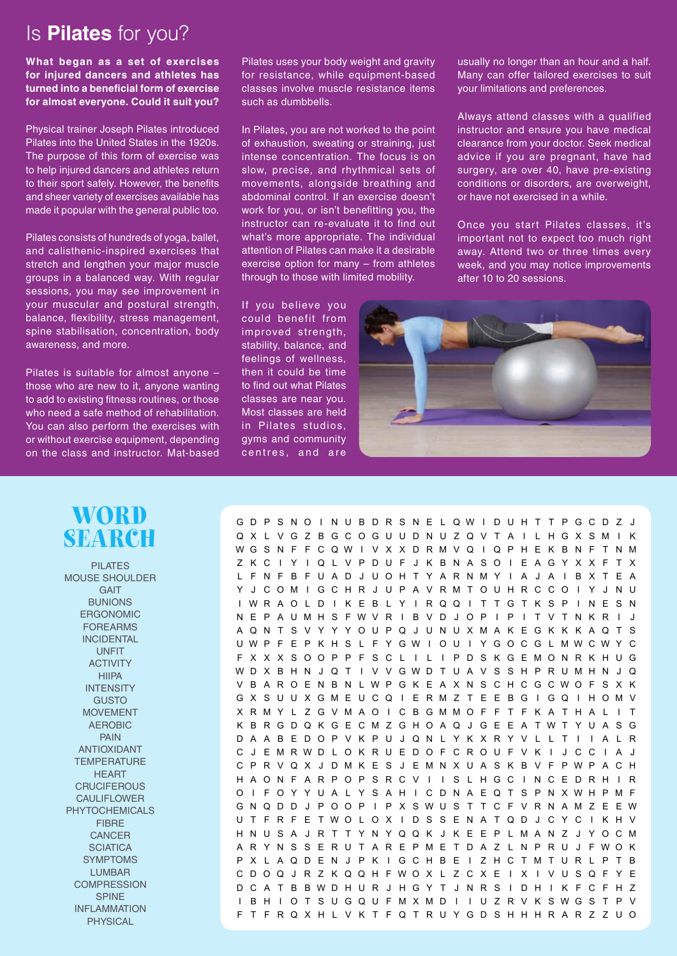## Is **Pilates** for you?

**What began as a set of exercises for injured dancers and athletes has turned into a beneficial form of exercise for almost everyone. Could it suit you?** 

Physical trainer Joseph Pilates introduced Pilates into the United States in the 1920s. The purpose of this form of exercise was to help injured dancers and athletes return to their sport safely. However, the benefits and sheer variety of exercises available has made it popular with the general public too.

Pilates consists of hundreds of yoga, ballet, and calisthenic-inspired exercises that stretch and lengthen your major muscle groups in a balanced way. With regular sessions, you may see improvement in your muscular and postural strength, balance, flexibility, stress management, spine stabilisation, concentration, body awareness, and more.

Pilates is suitable for almost anyone – those who are new to it, anyone wanting to add to existing fitness routines, or those who need a safe method of rehabilitation. You can also perform the exercises with or without exercise equipment, depending on the class and instructor. Mat-based

Pilates uses your body weight and gravity for resistance, while equipment-based classes involve muscle resistance items such as dumbbells.

In Pilates, you are not worked to the point of exhaustion, sweating or straining, just intense concentration. The focus is on slow, precise, and rhythmical sets of movements, alongside breathing and abdominal control. If an exercise doesn't work for you, or isn't benefitting you, the instructor can re-evaluate it to find out what's more appropriate. The individual attention of Pilates can make it a desirable exercise option for many – from athletes through to those with limited mobility.

If you believe you could benefit from improved strength, stability, balance, and feelings of wellness, then it could be time to find out what Pilates classes are near you. Most classes are held in Pilates studios, gyms and community centres, and are

usually no longer than an hour and a half. Many can offer tailored exercises to suit your limitations and preferences.

Always attend classes with a qualified instructor and ensure you have medical clearance from your doctor. Seek medical advice if you are pregnant, have had surgery, are over 40, have pre-existing conditions or disorders, are overweight, or have not exercised in a while.

Once you start Pilates classes, it's important not to expect too much right away. Attend two or three times every week, and you may notice improvements after 10 to 20 sessions.





PILATES MOUSE SHOULDER **GAIT BUNIONS** ERGONOMIC FOREARMS INCIDENTAL UNFIT ACTIVITY HIIPA **INTENSITY** GUSTO MOVEMENT AEROBIC PAIN ANTIOXIDANT **TEMPERATURE HFART CRUCIFEROUS** CAULIFLOWER PHYTOCHEMICALS **FIBBE CANCER SCIATICA** SYMPTOMS LUMBAR **COMPRESSION SPINE** INFLAMMATION **PHYSICAL** 

G D P S N O I N U B D R S N E L Q W I D U H T T P G C D Z J Q X L V G Z B G C O G U U D N U Z Q V T A I L H G X S M I K W G S N F F C Q W I V X X D R M V Q I Q P H E K B N F T N M Z K C I Y I Q L V P D U F J K B N A S O I E A G Y X X F T X L F N F B F U A D J U O H T Y A R N M Y I A J A I B X T E A Y J C O M I G C H R J U P A V R M T O U H R C C O I Y J N U I W R A O L D I K E B L Y I R Q Q I T T G T K S P I N E S N N E P A U M H S F W V R I B V D J O P I P I T V T N K R I J A Q N T S V Y Y Y O U P Q J U N U X M A K E G K K K A Q T S U W P F E P K H S L F Y G W I O U I Y G O C G L M W C W Y C F X X X S O O P P F S C L I L I P D S K G E M O N R K H U G W D X B H N J Q T I V V G W D T U A V S S H P R U M H N J Q V B A R O E N B N L W P G K E A X N S C H C G C W O F S X K G X S U U X G M E U C Q I E R M Z T E E B G I G Q I H O M V X R M Y L Z G V M A O I C B G M M O F F T F K A T H A L I T K B R G D Q K G E C M Z G H O A Q J G E E A T W T Y U A S G D A A B E D O P V K P U J Q N L Y K X R Y V L L T I I A L R C J E M R W D L O K R U E D O F C R O U F V K I J C C I A J C P R V Q X J D M K E S J E M N X U A S K B V F P W P A C H H A O N F A R P O P S R C V I I S L H G C I N C E D R H I R O I F O Y Y U A L Y S A H I C D N A E Q T S P N X W H P M F G N Q D D J P O O P I P X S W U S T T C F V R N A M Z E E W U T F R F E T W O L O X I D S S E N A T Q D J C Y C I K H V H N U S A J R T T Y N Y Q Q K J K E E P L M A N Z J Y O C M A R Y N S S E R U T A R E P M E T D A Z L N P R U J F W O K P X L A Q D E N J P K I G C H B E I Z H C T M T U R L P T B C D O Q J R Z K Q Q H F W O X L Z C X E I X I V U S Q F Y E D C A T B B W D H U R J H G Y T J N R S I D H I K F C F H Z I B H I O T S U G Q U F M X M D I I U Z R V K S W G S T P V F T F R Q X H L V K T F Q T R U Y G D S H H H R A R Z Z U O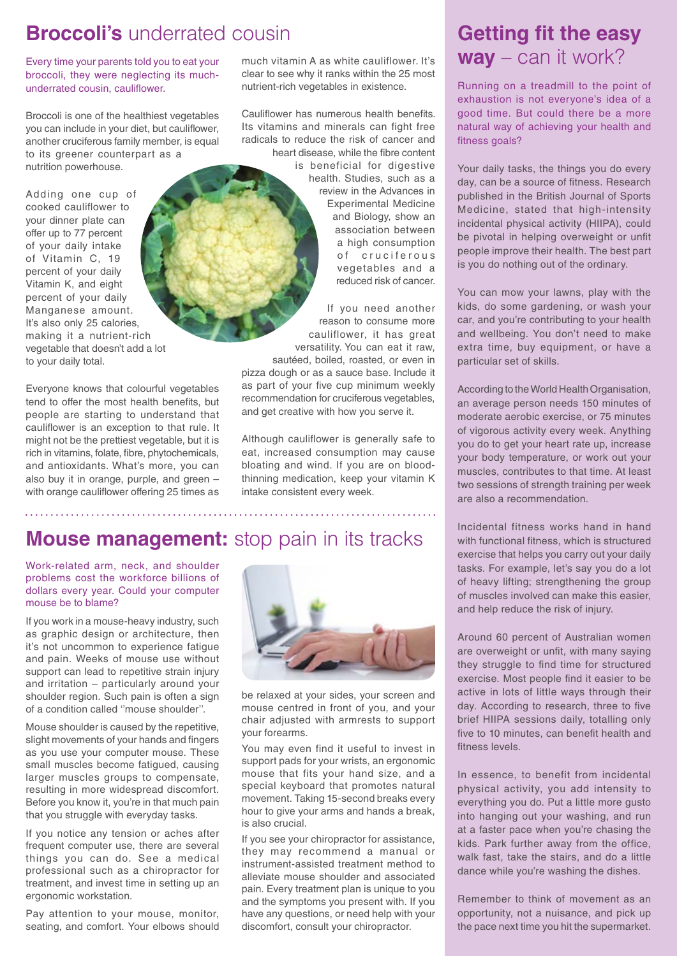## **Broccoli's** underrated cousin

Every time your parents told you to eat your broccoli, they were neglecting its muchunderrated cousin, cauliflower.

Broccoli is one of the healthiest vegetables you can include in your diet, but cauliflower, another cruciferous family member, is equal to its greener counterpart as a nutrition powerhouse.

Adding one cup of cooked cauliflower to your dinner plate can offer up to 77 percent of your daily intake of Vitamin C, 19 percent of your daily Vitamin K, and eight percent of your daily Manganese amount. It's also only 25 calories, making it a nutrient-rich vegetable that doesn't add a lot to your daily total.

Everyone knows that colourful vegetables tend to offer the most health benefits, but people are starting to understand that cauliflower is an exception to that rule. It might not be the prettiest vegetable, but it is rich in vitamins, folate, fibre, phytochemicals, and antioxidants. What's more, you can also buy it in orange, purple, and green – with orange cauliflower offering 25 times as much vitamin A as white cauliflower. It's clear to see why it ranks within the 25 most nutrient-rich vegetables in existence.

Cauliflower has numerous health benefits. Its vitamins and minerals can fight free radicals to reduce the risk of cancer and heart disease, while the fibre content

> is beneficial for digestive health. Studies, such as a review in the Advances in Experimental Medicine and Biology, show an association between a high consumption of cruciferous vegetables and a reduced risk of cancer.

If you need another reason to consume more cauliflower, it has great versatility. You can eat it raw, sautéed, boiled, roasted, or even in pizza dough or as a sauce base. Include it as part of your five cup minimum weekly recommendation for cruciferous vegetables, and get creative with how you serve it.

Although cauliflower is generally safe to eat, increased consumption may cause bloating and wind. If you are on bloodthinning medication, keep your vitamin K intake consistent every week.

## **Mouse management:** stop pain in its tracks

Work-related arm, neck, and shoulder problems cost the workforce billions of dollars every year. Could your computer mouse be to blame?

If you work in a mouse-heavy industry, such as graphic design or architecture, then it's not uncommon to experience fatigue and pain. Weeks of mouse use without support can lead to repetitive strain injury and irritation – particularly around your shoulder region. Such pain is often a sign of a condition called ''mouse shoulder''.

Mouse shoulder is caused by the repetitive, slight movements of your hands and fingers as you use your computer mouse. These small muscles become fatigued, causing larger muscles groups to compensate, resulting in more widespread discomfort. Before you know it, you're in that much pain that you struggle with everyday tasks.

If you notice any tension or aches after frequent computer use, there are several things you can do. See a medical professional such as a chiropractor for treatment, and invest time in setting up an ergonomic workstation.

Pay attention to your mouse, monitor, seating, and comfort. Your elbows should



be relaxed at your sides, your screen and mouse centred in front of you, and your chair adjusted with armrests to support your forearms.

You may even find it useful to invest in support pads for your wrists, an ergonomic mouse that fits your hand size, and a special keyboard that promotes natural movement. Taking 15-second breaks every hour to give your arms and hands a break, is also crucial.

If you see your chiropractor for assistance, they may recommend a manual or instrument-assisted treatment method to alleviate mouse shoulder and associated pain. Every treatment plan is unique to you and the symptoms you present with. If you have any questions, or need help with your discomfort, consult your chiropractor.

## **Getting fit the easy way** – can it work?

Running on a treadmill to the point of exhaustion is not everyone's idea of a good time. But could there be a more natural way of achieving your health and fitness goals?

Your daily tasks, the things you do every day, can be a source of fitness. Research published in the British Journal of Sports Medicine, stated that high-intensity incidental physical activity (HIIPA), could be pivotal in helping overweight or unfit people improve their health. The best part is you do nothing out of the ordinary.

You can mow your lawns, play with the kids, do some gardening, or wash your car, and you're contributing to your health and wellbeing. You don't need to make extra time, buy equipment, or have a particular set of skills.

According to the World Health Organisation, an average person needs 150 minutes of moderate aerobic exercise, or 75 minutes of vigorous activity every week. Anything you do to get your heart rate up, increase your body temperature, or work out your muscles, contributes to that time. At least two sessions of strength training per week are also a recommendation.

Incidental fitness works hand in hand with functional fitness, which is structured exercise that helps you carry out your daily tasks. For example, let's say you do a lot of heavy lifting; strengthening the group of muscles involved can make this easier, and help reduce the risk of injury.

Around 60 percent of Australian women are overweight or unfit, with many saying they struggle to find time for structured exercise. Most people find it easier to be active in lots of little ways through their day. According to research, three to five brief HIIPA sessions daily, totalling only five to 10 minutes, can benefit health and fitness levels.

In essence, to benefit from incidental physical activity, you add intensity to everything you do. Put a little more gusto into hanging out your washing, and run at a faster pace when you're chasing the kids. Park further away from the office, walk fast, take the stairs, and do a little dance while you're washing the dishes.

Remember to think of movement as an opportunity, not a nuisance, and pick up the pace next time you hit the supermarket.